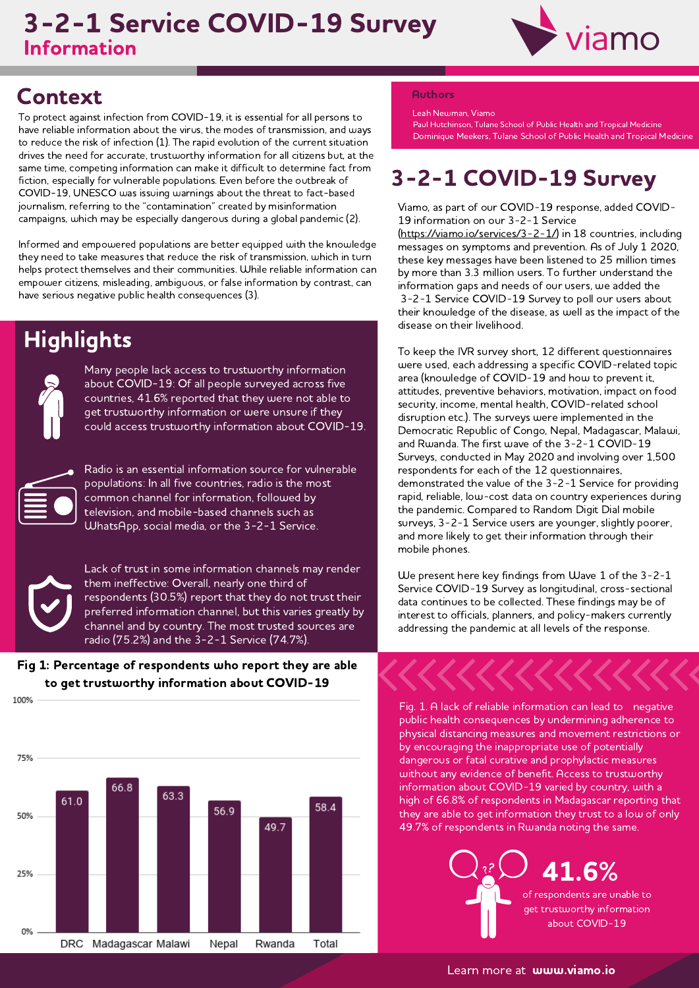# Information 3-2-1 Service COVID-19 Survey



# Context Authors

To protect against infection from COVID-19, it is essential for all persons to have reliable information about the virus, the modes of transmission, and ways to reduce the risk of infection (1). The rapid evolution of the current situation drives the need for accurate, trustworthy information for all citizens but, at the same time, competing information can make it difficult to determine fact from fiction, especially for vulnerable populations. Even before the outbreak of COVID-19, UNESCO was issuing warnings about the threat to fact-based journalism, referring to the "contamination" created by misinformation campaigns, which may be especially dangerous during <sup>a</sup> global pandemic (2).

Informed and empowered populations are better equipped with the knowledge they need to take measures that reduce the risk of transmission, which in turn helps protect themselves and their communities. While reliable information can empower citizens, misleading, ambiguous, or false information by contrast, can have serious negative public health consequences (3).



**Highlights** 

Many people lack access to trustworthy information about COVID-19: Of all people surveyed across five countries, 41.6% reported that they were not able to get trustworthy information or were unsure if they could access trustworthy information about COVID-19.



Radio is an essential information source for vulnerable populations: In all five countries, radio is the most common channel for information, followed by television, and mobile-based channels such as WhatsApp, social media, or the 3-2-1 Service.



Lack of trust in some information channels may render them ineffective: Overall, nearly one third of respondents (30.5%) report that they do not trust their preferred information channel, but this varies greatly by channel and by country. The most trusted sources are radio (75.2%) and the 3-2-1 Service (74.7%).





Leah Newman, Viamo

Paul Hutchinson, Tulane School of Public Health and Tropical Medicine Dominique Meekers, Tulane School of Public Health and Tropical Medicine

# 3-2-1 COVID-19 Survey

Viamo, as part of our COVID-19 response, added COVID-19 information on our 3-2-1 Service

(<https://viamo.io/services/3-2-1/>) in <sup>18</sup> countries, including messages on symptoms and prevention. As of July <sup>1</sup> 2020, these key messages have been listened to 25 million times by more than 3.3 million users. To further understand the information gaps and needs of our users, we added the 3-2-1 Service COVID-19 Survey to poll our users about their knowledge of the disease, as well as the impact of the disease on their livelihood.

To keep the IVR survey short, 12 different questionnaires were used, each addressing <sup>a</sup> specific COVID-related topic area (knowledge of COVID-19 and how to prevent it, attitudes, preventive behaviors, motivation, impact on food security, income, mental health, COVID-related school disruption etc.). The surveys were implemented in the Democratic Republic of Congo, Nepal, Madagascar, Malawi, and Rwanda. The first wave of the 3-2-1 COVID-19 Surveys, conducted in May <sup>2020</sup> and involving over 1,500 respondents for each of the 12 questionnaires, demonstrated the value of the 3-2-1 Service for providing rapid, reliable, low-cost data on country experiences during the pandemic. Compared to Random Digit Dial mobile surveys, 3-2-1 Service users are younger, slightly poorer, and more likely to get their information through their and more incry<br>mobile phones.

We present here key findings from Wave <sup>1</sup> of the 3-2-1 Service COVID-19 Survey as longitudinal, cross-sectional data continues to be collected. These findings may be of interest to officials, planners, and policy-makers currently addressing the pandemic at all levels of the response.

Fig. 1. <sup>A</sup> lack of reliable information can lead to negative public health consequences by undermining adherence to physical distancing measures and movement restrictions or by encouraging the inappropriate use of potentially dangerous or fatal curative and prophylactic measures without any evidence of benefit. Access to trustworthy information about COVID-19 varied by country, with <sup>a</sup> high of 66.8% of respondents in Madagascar reporting that they are able to get information they trust to <sup>a</sup> low of only 49.7% of respondents in Rwanda noting the same.

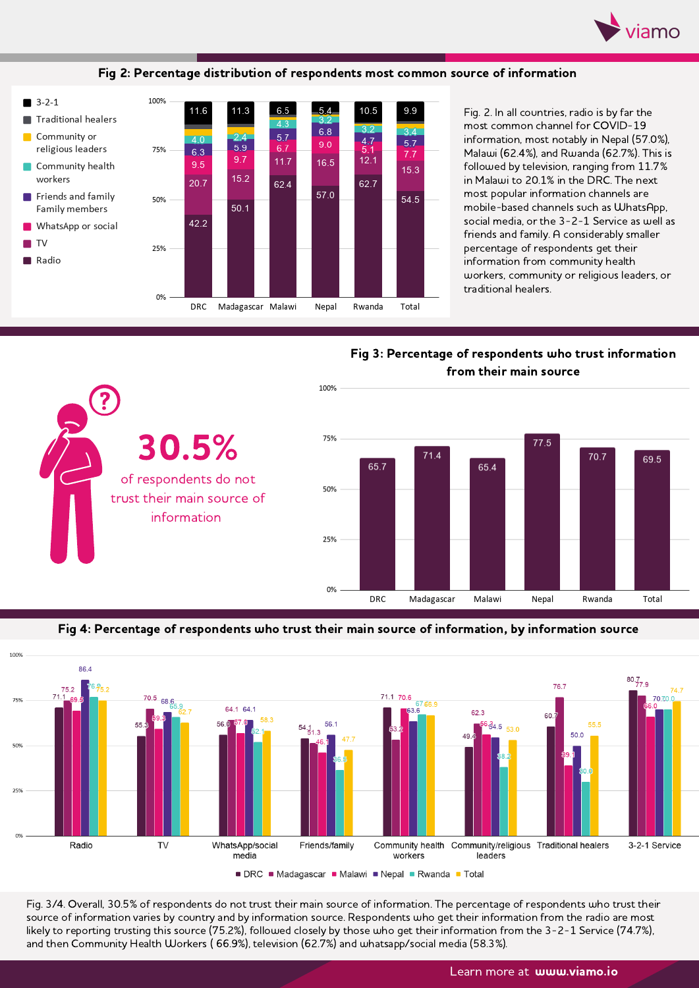

Fig 2: Percentage distribution of respondents most common source of information



Fig. 2. In all countries, radio is by far the most common channel for COVID-19 information, most notably in Nepal (57.0%), Malawi (62.4%), and Rwanda (62.7%). This is followed by television, ranging from 11.7% in Malawi to 20.1% in the DRC. The next most popular information channels are<br>mobile-based channels such as WhatsApp, social media, or the 3-2-1 Service as well as friends and family. <sup>A</sup> considerably smaller percentage of respondents get their<br>information from community health workers, community or religious leaders, or traditional healers.

Fig 3: Percentage of respondents who trust information from their main source



Fig 4: Percentage of respondents who trust their main source of information, by information source



Fig. 3/4. Overall, 30.5% of respondents do not trust their main source of information. The percentage of respondents who trust their source of information varies by country and by information source. Respondents who get their information from the radio are most likely to reporting trusting this source (75.2%), followed closely by those who get their information from the 3-2-1 Service (74.7%), and then Community Health Workers ( 66.9%), television (62.7%) and whatsapp/social media (58.3%).